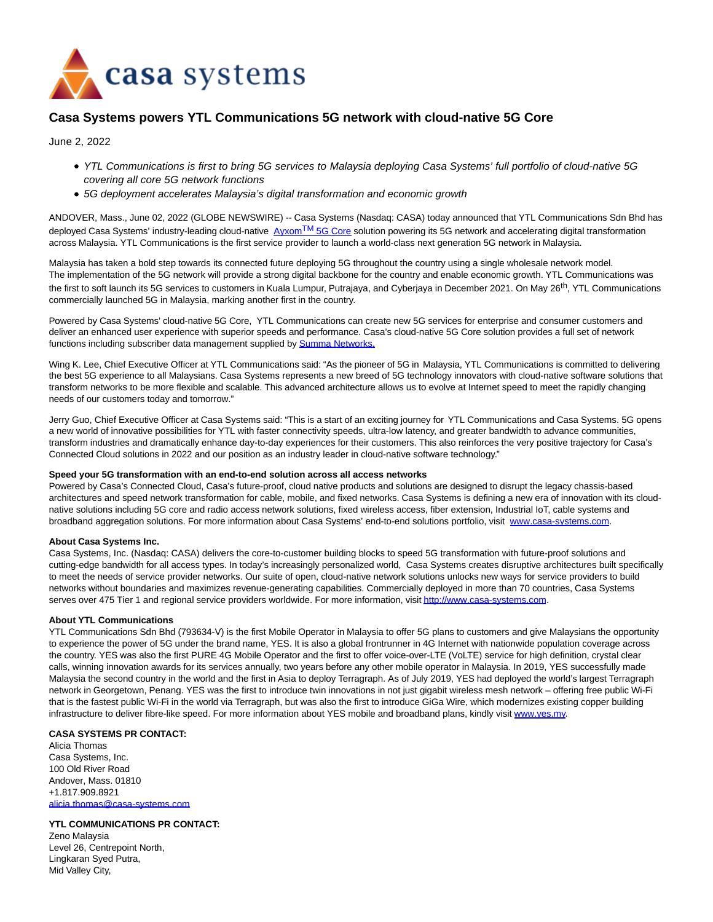

# **Casa Systems powers YTL Communications 5G network with cloud-native 5G Core**

June 2, 2022

- YTL Communications is first to bring 5G services to Malaysia deploying Casa Systems' full portfolio of cloud-native 5G covering all core 5G network functions
- 5G deployment accelerates Malaysia's digital transformation and economic growth

ANDOVER, Mass., June 02, 2022 (GLOBE NEWSWIRE) -- Casa Systems (Nasdaq: CASA) today announced that YTL Communications Sdn Bhd has deployed Casa Systems' industry-leading cloud-native  $AyxomTM$  $AyxomTM$  [5G Core s](https://www.globenewswire.com/Tracker?data=YnPV1LeXoWqs4fiDtrQZ7pSCgnZnLsOkjPNL9-n6wTZz4PtaKy_xwqOyoPdfvqJBFzVYdosNCnZtgNGP19oFhViUmowmyP4LGWkgBdPZZsoD2P0ELycM-gNAmhu9Nat0)olution powering its 5G network and accelerating digital transformation across Malaysia. YTL Communications is the first service provider to launch a world-class next generation 5G network in Malaysia.

Malaysia has taken a bold step towards its connected future deploying 5G throughout the country using a single wholesale network model. The implementation of the 5G network will provide a strong digital backbone for the country and enable economic growth. YTL Communications was the first to soft launch its 5G services to customers in Kuala Lumpur, Putrajaya, and Cyberjaya in December 2021. On May 26<sup>th</sup>, YTL Communications commercially launched 5G in Malaysia, marking another first in the country.

Powered by Casa Systems' cloud-native 5G Core, YTL Communications can create new 5G services for enterprise and consumer customers and deliver an enhanced user experience with superior speeds and performance. Casa's cloud-native 5G Core solution provides a full set of network functions including subscriber data management supplied by **Summa Networks.** 

Wing K. Lee, Chief Executive Officer at YTL Communications said: "As the pioneer of 5G in Malaysia, YTL Communications is committed to delivering the best 5G experience to all Malaysians. Casa Systems represents a new breed of 5G technology innovators with cloud-native software solutions that transform networks to be more flexible and scalable. This advanced architecture allows us to evolve at Internet speed to meet the rapidly changing needs of our customers today and tomorrow."

Jerry Guo, Chief Executive Officer at Casa Systems said: "This is a start of an exciting journey for YTL Communications and Casa Systems. 5G opens a new world of innovative possibilities for YTL with faster connectivity speeds, ultra-low latency, and greater bandwidth to advance communities, transform industries and dramatically enhance day-to-day experiences for their customers. This also reinforces the very positive trajectory for Casa's Connected Cloud solutions in 2022 and our position as an industry leader in cloud-native software technology."

### **Speed your 5G transformation with an end-to-end solution across all access networks**

Powered by Casa's Connected Cloud, Casa's future-proof, cloud native products and solutions are designed to disrupt the legacy chassis-based architectures and speed network transformation for cable, mobile, and fixed networks. Casa Systems is defining a new era of innovation with its cloudnative solutions including 5G core and radio access network solutions, fixed wireless access, fiber extension, Industrial IoT, cable systems and broadband aggregation solutions. For more information about Casa Systems' end-to-end solutions portfolio, visit [www.casa-systems.com.](https://www.globenewswire.com/Tracker?data=vFay6jwZz1zFNro9mnIeBE9ty28v1fS_79b372yRKrUMXrO4RI6Exo7yJ5JHC656X82gqI0ZNB9Om2WiVTrLAcEXWpuBOz3SKg2XY8By57Y=)

## **About Casa Systems Inc.**

Casa Systems, Inc. (Nasdaq: CASA) delivers the core-to-customer building blocks to speed 5G transformation with future-proof solutions and cutting-edge bandwidth for all access types. In today's increasingly personalized world, Casa Systems creates disruptive architectures built specifically to meet the needs of service provider networks. Our suite of open, cloud-native network solutions unlocks new ways for service providers to build networks without boundaries and maximizes revenue-generating capabilities. Commercially deployed in more than 70 countries, Casa Systems serves over 475 Tier 1 and regional service providers worldwide. For more information, visi[t http://www.casa-systems.com.](https://www.globenewswire.com/Tracker?data=t-2uLdO2jA0mQZd60ARzYFnwEwhSGRoHfQjn2KUQ_rOiQ1Y22_5ZS4IP2RN6HrObKh-uoTfRovmbAssHV8teTEQE5wXI6BXA7MYcEQSO_Lw=)

### **About YTL Communications**

YTL Communications Sdn Bhd (793634-V) is the first Mobile Operator in Malaysia to offer 5G plans to customers and give Malaysians the opportunity to experience the power of 5G under the brand name, YES. It is also a global frontrunner in 4G Internet with nationwide population coverage across the country. YES was also the first PURE 4G Mobile Operator and the first to offer voice-over-LTE (VoLTE) service for high definition, crystal clear calls, winning innovation awards for its services annually, two years before any other mobile operator in Malaysia. In 2019, YES successfully made Malaysia the second country in the world and the first in Asia to deploy Terragraph. As of July 2019, YES had deployed the world's largest Terragraph network in Georgetown, Penang. YES was the first to introduce twin innovations in not just gigabit wireless mesh network – offering free public Wi-Fi that is the fastest public Wi-Fi in the world via Terragraph, but was also the first to introduce GiGa Wire, which modernizes existing copper building infrastructure to deliver fibre-like speed. For more information about YES mobile and broadband plans, kindly visit [www.yes.my.](https://www.globenewswire.com/Tracker?data=ieE3PKPiXg6ElbHtsHw_vB9BSaIgwWwBpnRR31lkgw8UjpYTuOAqGIDsh4zLPr6_Vcf9zGebIXiTsqSr-tvHdg==)

## **CASA SYSTEMS PR CONTACT:**

Alicia Thomas Casa Systems, Inc. 100 Old River Road Andover, Mass. 01810 +1.817.909.8921 [alicia.thomas@casa-systems.com](https://www.globenewswire.com/Tracker?data=NzlXn4Nv39verogjX035gnxXUwmCOddVHmdRuOggL8Og6N7ZCxeMgRv1KnvZglxAWtMioermethq-n0VgwqXv4ObY9CJifBCBxlB95TI1uzRVvQWxbMStrT2tM7pVcMV)

**YTL COMMUNICATIONS PR CONTACT:** Zeno Malaysia Level 26, Centrepoint North, Lingkaran Syed Putra, Mid Valley City,